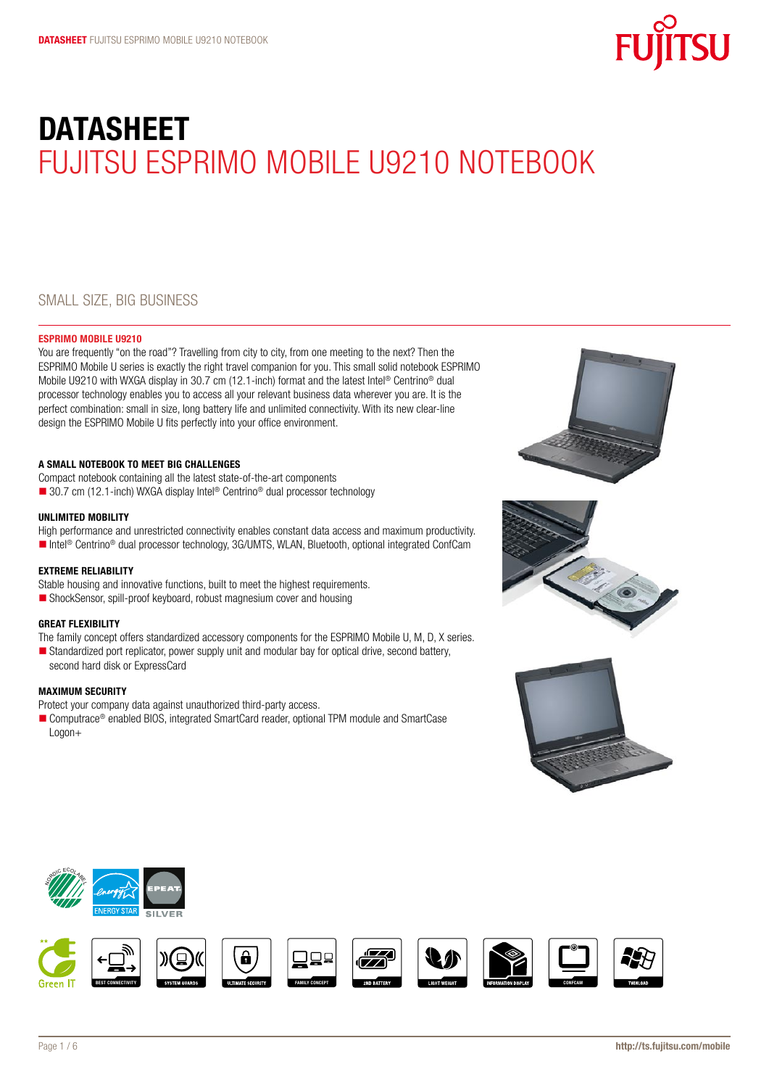

# **DATASHEET** FUJITSU ESPRIMO MOBILE U9210 NOTEBOOK

# Small size, big business

# ESPRIMO Mobile U9210

You are frequently "on the road"? Travelling from city to city, from one meeting to the next? Then the ESPRIMO Mobile U series is exactly the right travel companion for you. This small solid notebook ESPRIMO Mobile U9210 with WXGA display in 30.7 cm (12.1-inch) format and the latest Intel® Centrino® dual processor technology enables you to access all your relevant business data wherever you are. It is the perfect combination: small in size, long battery life and unlimited connectivity. With its new clear-line design the ESPRIMO Mobile U fits perfectly into your office environment.

# A small notebook to meet big challenges

Compact notebook containing all the latest state-of-the-art components

■ 30.7 cm (12.1-inch) WXGA display Intel<sup>®</sup> Centrino<sup>®</sup> dual processor technology

# UNLIMITED MOBILITY

High performance and unrestricted connectivity enables constant data access and maximum productivity. ■ Intel<sup>®</sup> Centrino<sup>®</sup> dual processor technology, 3G/UMTS, WLAN, Bluetooth, optional integrated ConfCam

# Extreme reliability

Stable housing and innovative functions, built to meet the highest requirements.

■ ShockSensor, spill-proof keyboard, robust magnesium cover and housing

# Great flexibility

The family concept offers standardized accessory components for the ESPRIMO Mobile U, M, D, X series.

Standardized port replicator, power supply unit and modular bay for optical drive, second battery, second hard disk or ExpressCard

# Maximum security

Protect your company data against unauthorized third-party access.

■ Computrace<sup>®</sup> enabled BIOS, integrated SmartCard reader, optional TPM module and SmartCase Logon+









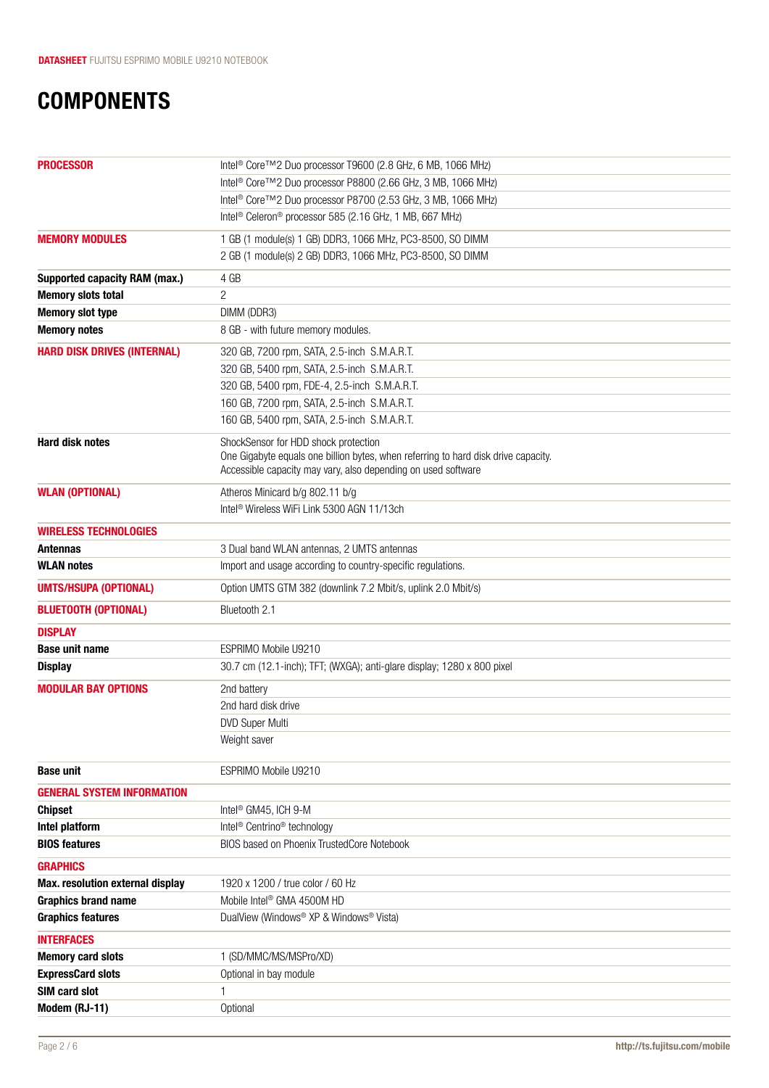# **COMPONENTS**

| Intel <sup>®</sup> Core™2 Duo processor T9600 (2.8 GHz, 6 MB, 1066 MHz)            |
|------------------------------------------------------------------------------------|
| Intel <sup>®</sup> Core™2 Duo processor P8800 (2.66 GHz, 3 MB, 1066 MHz)           |
| Intel <sup>®</sup> Core™2 Duo processor P8700 (2.53 GHz, 3 MB, 1066 MHz)           |
| Intel <sup>®</sup> Celeron <sup>®</sup> processor 585 (2.16 GHz, 1 MB, 667 MHz)    |
| 1 GB (1 module(s) 1 GB) DDR3, 1066 MHz, PC3-8500, SO DIMM                          |
| 2 GB (1 module(s) 2 GB) DDR3, 1066 MHz, PC3-8500, SO DIMM                          |
| 4 GB                                                                               |
| 2                                                                                  |
| DIMM (DDR3)                                                                        |
| 8 GB - with future memory modules.                                                 |
| 320 GB, 7200 rpm, SATA, 2.5-inch S.M.A.R.T.                                        |
| 320 GB, 5400 rpm, SATA, 2.5-inch S.M.A.R.T.                                        |
| 320 GB, 5400 rpm, FDE-4, 2.5-inch S.M.A.R.T.                                       |
| 160 GB, 7200 rpm, SATA, 2.5-inch S.M.A.R.T.                                        |
| 160 GB, 5400 rpm, SATA, 2.5-inch S.M.A.R.T.                                        |
| ShockSensor for HDD shock protection                                               |
| One Gigabyte equals one billion bytes, when referring to hard disk drive capacity. |
| Accessible capacity may vary, also depending on used software                      |
| Atheros Minicard b/g 802.11 b/g                                                    |
| Intel <sup>®</sup> Wireless WiFi Link 5300 AGN 11/13ch                             |
|                                                                                    |
| 3 Dual band WLAN antennas, 2 UMTS antennas                                         |
| Import and usage according to country-specific regulations.                        |
| Option UMTS GTM 382 (downlink 7.2 Mbit/s, uplink 2.0 Mbit/s)                       |
| Bluetooth 2.1                                                                      |
|                                                                                    |
| ESPRIMO Mobile U9210                                                               |
| 30.7 cm (12.1-inch); TFT; (WXGA); anti-glare display; 1280 x 800 pixel             |
| 2nd battery                                                                        |
| 2nd hard disk drive                                                                |
| <b>DVD Super Multi</b>                                                             |
| Weight saver                                                                       |
| ESPRIMO Mobile U9210                                                               |
|                                                                                    |
| Intel <sup>®</sup> GM45, ICH 9-M                                                   |
| Intel <sup>®</sup> Centrino <sup>®</sup> technology                                |
| BIOS based on Phoenix TrustedCore Notebook                                         |
|                                                                                    |
| 1920 x 1200 / true color / 60 Hz                                                   |
| Mobile Intel <sup>®</sup> GMA 4500M HD                                             |
| DualView (Windows® XP & Windows® Vista)                                            |
|                                                                                    |
| 1 (SD/MMC/MS/MSPro/XD)                                                             |
| Optional in bay module                                                             |
| 1                                                                                  |
| Optional                                                                           |
|                                                                                    |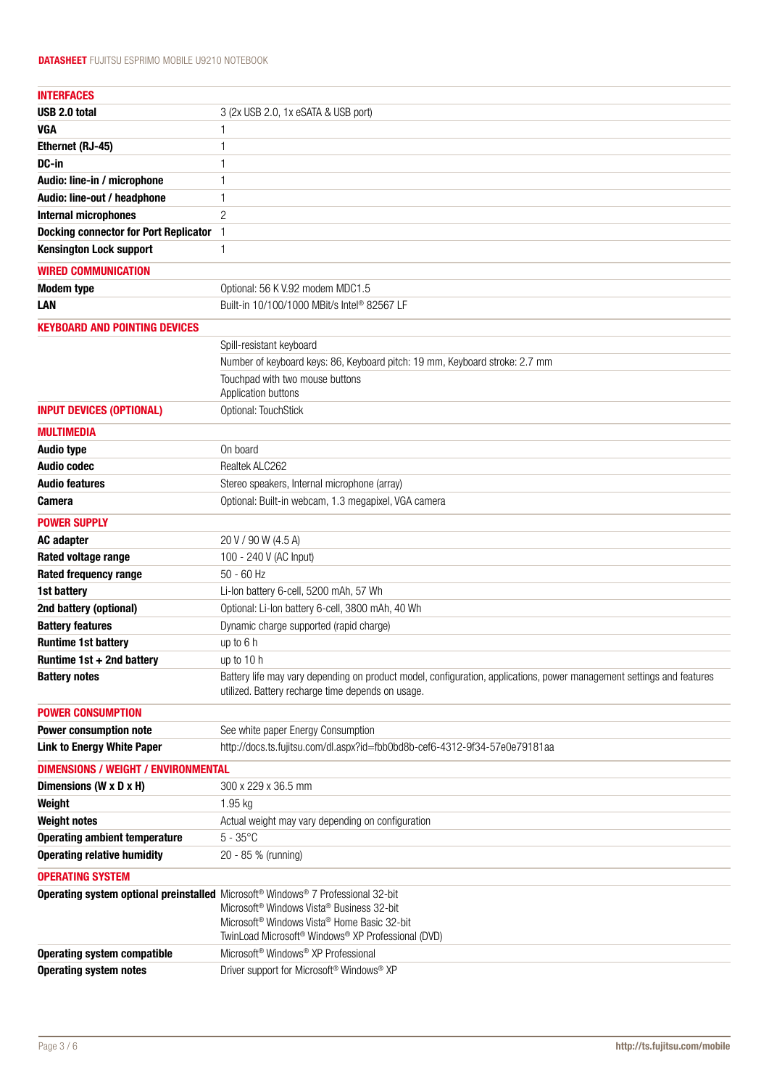| <b>INTERFACES</b>                            |                                                                                                                       |
|----------------------------------------------|-----------------------------------------------------------------------------------------------------------------------|
| USB 2.0 total                                | 3 (2x USB 2.0, 1x eSATA & USB port)                                                                                   |
| <b>VGA</b>                                   | 1                                                                                                                     |
| Ethernet (RJ-45)                             | 1                                                                                                                     |
| DC-in                                        | 1                                                                                                                     |
| Audio: line-in / microphone                  | 1                                                                                                                     |
| Audio: line-out / headphone                  | 1                                                                                                                     |
| <b>Internal microphones</b>                  | $\overline{2}$                                                                                                        |
| <b>Docking connector for Port Replicator</b> | $\mathbf{1}$                                                                                                          |
| <b>Kensington Lock support</b>               | 1                                                                                                                     |
| <b>WIRED COMMUNICATION</b>                   |                                                                                                                       |
| <b>Modem type</b>                            | Optional: 56 K V.92 modem MDC1.5                                                                                      |
| LAN                                          | Built-in 10/100/1000 MBit/s Intel <sup>®</sup> 82567 LF                                                               |
| <b>KEYBOARD AND POINTING DEVICES</b>         |                                                                                                                       |
|                                              | Spill-resistant keyboard                                                                                              |
|                                              | Number of keyboard keys: 86, Keyboard pitch: 19 mm, Keyboard stroke: 2.7 mm                                           |
|                                              | Touchpad with two mouse buttons                                                                                       |
|                                              | Application buttons                                                                                                   |
| <b>INPUT DEVICES (OPTIONAL)</b>              | Optional: TouchStick                                                                                                  |
| <b>MULTIMEDIA</b>                            |                                                                                                                       |
| <b>Audio type</b>                            | On board                                                                                                              |
| <b>Audio codec</b>                           | Realtek ALC262                                                                                                        |
| <b>Audio features</b>                        | Stereo speakers, Internal microphone (array)                                                                          |
| <b>Camera</b>                                | Optional: Built-in webcam, 1.3 megapixel, VGA camera                                                                  |
| <b>POWER SUPPLY</b>                          |                                                                                                                       |
| <b>AC adapter</b>                            | 20 V / 90 W (4.5 A)                                                                                                   |
| Rated voltage range                          | 100 - 240 V (AC Input)                                                                                                |
| Rated frequency range                        | $50 - 60$ Hz                                                                                                          |
| 1st battery                                  | Li-Ion battery 6-cell, 5200 mAh, 57 Wh                                                                                |
| 2nd battery (optional)                       | Optional: Li-Ion battery 6-cell, 3800 mAh, 40 Wh                                                                      |
| <b>Battery features</b>                      | Dynamic charge supported (rapid charge)                                                                               |
| <b>Runtime 1st battery</b>                   | up to 6 h                                                                                                             |
| Runtime 1st + 2nd battery                    | up to 10 h                                                                                                            |
| <b>Battery notes</b>                         | Battery life may vary depending on product model, configuration, applications, power management settings and features |
|                                              | utilized. Battery recharge time depends on usage.                                                                     |
| <b>POWER CONSUMPTION</b>                     |                                                                                                                       |
| Power consumption note                       | See white paper Energy Consumption                                                                                    |
| <b>Link to Energy White Paper</b>            | http://docs.ts.fujitsu.com/dl.aspx?id=fbb0bd8b-cef6-4312-9f34-57e0e79181aa                                            |
| <b>DIMENSIONS / WEIGHT / ENVIRONMENTAL</b>   |                                                                                                                       |
| Dimensions (W x D x H)                       | 300 x 229 x 36.5 mm                                                                                                   |
| Weight                                       | 1.95 kg                                                                                                               |
| <b>Weight notes</b>                          | Actual weight may vary depending on configuration                                                                     |
| <b>Operating ambient temperature</b>         | $5 - 35$ °C                                                                                                           |
| <b>Operating relative humidity</b>           | 20 - 85 % (running)                                                                                                   |
| <b>OPERATING SYSTEM</b>                      |                                                                                                                       |
|                                              | Operating system optional preinstalled Microsoft® Windows® 7 Professional 32-bit                                      |
|                                              | Microsoft <sup>®</sup> Windows Vista <sup>®</sup> Business 32-bit                                                     |
|                                              | Microsoft <sup>®</sup> Windows Vista® Home Basic 32-bit                                                               |
|                                              | TwinLoad Microsoft® Windows® XP Professional (DVD)                                                                    |
| <b>Operating system compatible</b>           | Microsoft <sup>®</sup> Windows <sup>®</sup> XP Professional                                                           |
| <b>Operating system notes</b>                | Driver support for Microsoft <sup>®</sup> Windows <sup>®</sup> XP                                                     |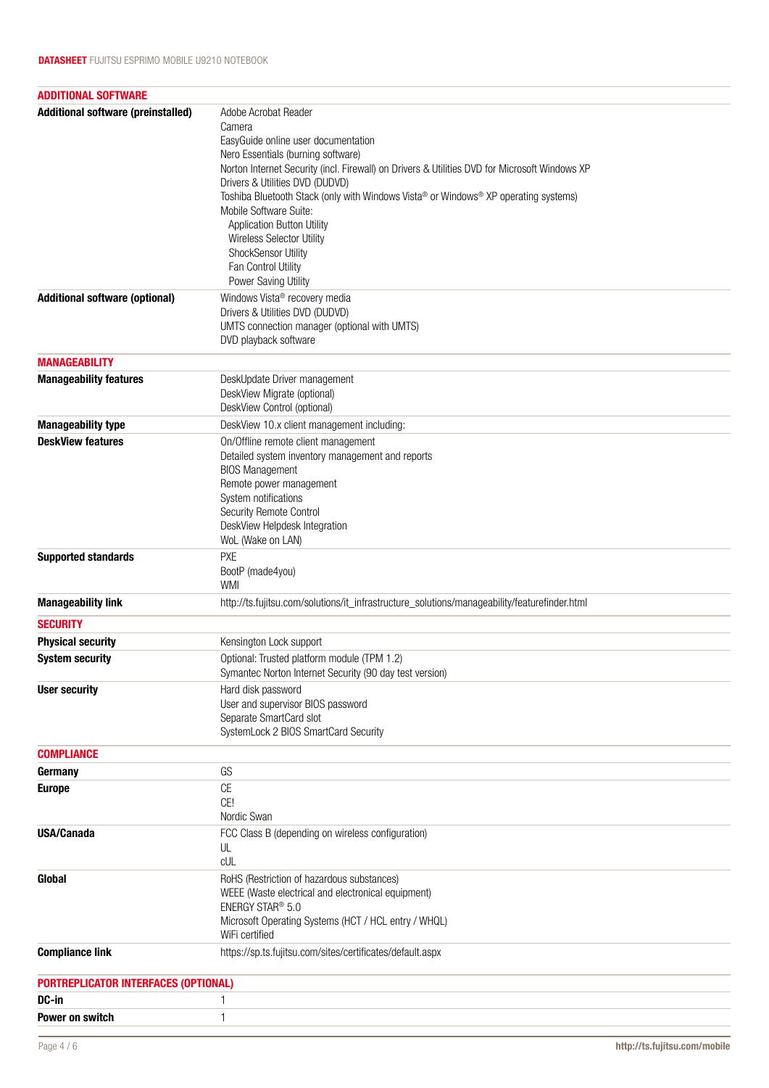| <b>ADDITIONAL SOFTWARE</b>                |                                                                                                                                                                                                                                                                                                                                                                                                                                                                                                          |
|-------------------------------------------|----------------------------------------------------------------------------------------------------------------------------------------------------------------------------------------------------------------------------------------------------------------------------------------------------------------------------------------------------------------------------------------------------------------------------------------------------------------------------------------------------------|
| <b>Additional software (preinstalled)</b> | Adobe Acrobat Reader<br>Camera<br>EasyGuide online user documentation<br>Nero Essentials (burning software)<br>Norton Internet Security (incl. Firewall) on Drivers & Utilities DVD for Microsoft Windows XP<br>Drivers & Utilities DVD (DUDVD)<br>Toshiba Bluetooth Stack (only with Windows Vista® or Windows® XP operating systems)<br>Mobile Software Suite:<br><b>Application Button Utility</b><br>Wireless Selector Utility<br>ShockSensor Utility<br>Fan Control Utility<br>Power Saving Utility |
| <b>Additional software (optional)</b>     | Windows Vista <sup>®</sup> recovery media<br>Drivers & Utilities DVD (DUDVD)<br>UMTS connection manager (optional with UMTS)<br>DVD playback software                                                                                                                                                                                                                                                                                                                                                    |
| <b>MANAGEABILITY</b>                      |                                                                                                                                                                                                                                                                                                                                                                                                                                                                                                          |
| <b>Manageability features</b>             | DeskUpdate Driver management<br>DeskView Migrate (optional)<br>DeskView Control (optional)                                                                                                                                                                                                                                                                                                                                                                                                               |
| <b>Manageability type</b>                 | DeskView 10.x client management including:                                                                                                                                                                                                                                                                                                                                                                                                                                                               |
| <b>DeskView features</b>                  | On/Offline remote client management<br>Detailed system inventory management and reports<br><b>BIOS Management</b><br>Remote power management<br>System notifications<br>Security Remote Control<br>DeskView Helpdesk Integration<br>WoL (Wake on LAN)                                                                                                                                                                                                                                                    |
| <b>Supported standards</b>                | <b>PXE</b><br>BootP (made4you)<br><b>WMI</b>                                                                                                                                                                                                                                                                                                                                                                                                                                                             |
| <b>Manageability link</b>                 | http://ts.fujitsu.com/solutions/it_infrastructure_solutions/manageability/featurefinder.html                                                                                                                                                                                                                                                                                                                                                                                                             |
| <b>SECURITY</b>                           |                                                                                                                                                                                                                                                                                                                                                                                                                                                                                                          |
| <b>Physical security</b>                  | Kensington Lock support                                                                                                                                                                                                                                                                                                                                                                                                                                                                                  |
| <b>System security</b>                    | Optional: Trusted platform module (TPM 1.2)<br>Symantec Norton Internet Security (90 day test version)                                                                                                                                                                                                                                                                                                                                                                                                   |
| <b>User security</b>                      | Hard disk password<br>User and supervisor BIOS password<br>Separate SmartCard slot<br>SystemLock 2 BIOS SmartCard Security                                                                                                                                                                                                                                                                                                                                                                               |
| <b>COMPLIANCE</b>                         |                                                                                                                                                                                                                                                                                                                                                                                                                                                                                                          |
| Germany                                   | GS                                                                                                                                                                                                                                                                                                                                                                                                                                                                                                       |
| <b>Europe</b>                             | CE<br>CE!<br>Nordic Swan                                                                                                                                                                                                                                                                                                                                                                                                                                                                                 |
| <b>USA/Canada</b>                         | FCC Class B (depending on wireless configuration)<br>UL<br>CUL                                                                                                                                                                                                                                                                                                                                                                                                                                           |
| Global                                    | RoHS (Restriction of hazardous substances)<br>WEEE (Waste electrical and electronical equipment)<br>ENERGY STAR® 5.0<br>Microsoft Operating Systems (HCT / HCL entry / WHQL)<br>WiFi certified                                                                                                                                                                                                                                                                                                           |
| <b>Compliance link</b>                    | https://sp.ts.fujitsu.com/sites/certificates/default.aspx                                                                                                                                                                                                                                                                                                                                                                                                                                                |
| PORTREPLICATOR INTERFACES (OPTIONAL)      |                                                                                                                                                                                                                                                                                                                                                                                                                                                                                                          |
| DC-in                                     | 1                                                                                                                                                                                                                                                                                                                                                                                                                                                                                                        |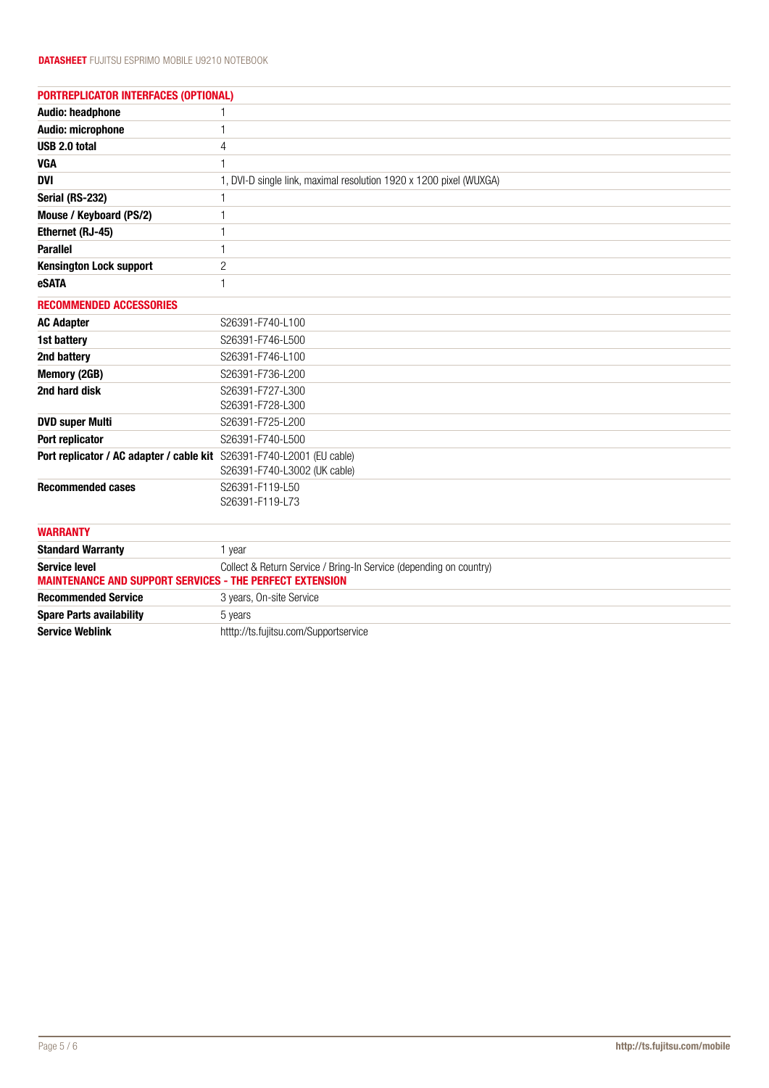| <b>PORTREPLICATOR INTERFACES (OPTIONAL)</b>                                             |                                                                    |  |
|-----------------------------------------------------------------------------------------|--------------------------------------------------------------------|--|
| Audio: headphone                                                                        | 1                                                                  |  |
| Audio: microphone                                                                       | 1                                                                  |  |
| USB 2.0 total                                                                           | 4                                                                  |  |
| <b>VGA</b>                                                                              | $\mathbf{1}$                                                       |  |
| <b>DVI</b>                                                                              | 1, DVI-D single link, maximal resolution 1920 x 1200 pixel (WUXGA) |  |
| Serial (RS-232)                                                                         | 1                                                                  |  |
| Mouse / Keyboard (PS/2)                                                                 | 1                                                                  |  |
| Ethernet (RJ-45)                                                                        | 1                                                                  |  |
| <b>Parallel</b>                                                                         | 1                                                                  |  |
| <b>Kensington Lock support</b>                                                          | $\overline{c}$                                                     |  |
| eSATA                                                                                   | 1                                                                  |  |
| <b>RECOMMENDED ACCESSORIES</b>                                                          |                                                                    |  |
| <b>AC Adapter</b>                                                                       | S26391-F740-L100                                                   |  |
| 1st battery                                                                             | S26391-F746-L500                                                   |  |
| 2nd battery                                                                             | S26391-F746-L100                                                   |  |
| Memory (2GB)                                                                            | S26391-F736-L200                                                   |  |
| 2nd hard disk                                                                           | S26391-F727-L300<br>S26391-F728-L300                               |  |
| <b>DVD super Multi</b>                                                                  | S26391-F725-L200                                                   |  |
| Port replicator                                                                         | S26391-F740-L500                                                   |  |
| Port replicator / AC adapter / cable kit S26391-F740-L2001 (EU cable)                   | S26391-F740-L3002 (UK cable)                                       |  |
| <b>Recommended cases</b>                                                                | S26391-F119-L50<br>S26391-F119-L73                                 |  |
| <b>WARRANTY</b>                                                                         |                                                                    |  |
| <b>Standard Warranty</b>                                                                | 1 year                                                             |  |
| <b>Service level</b><br><b>MAINTENANCE AND SUPPORT SERVICES - THE PERFECT EXTENSION</b> | Collect & Return Service / Bring-In Service (depending on country) |  |
| <b>Recommended Service</b>                                                              | 3 years, On-site Service                                           |  |
| <b>Spare Parts availability</b>                                                         | 5 years                                                            |  |
| <b>Service Weblink</b>                                                                  | htttp://ts.fujitsu.com/Supportservice                              |  |